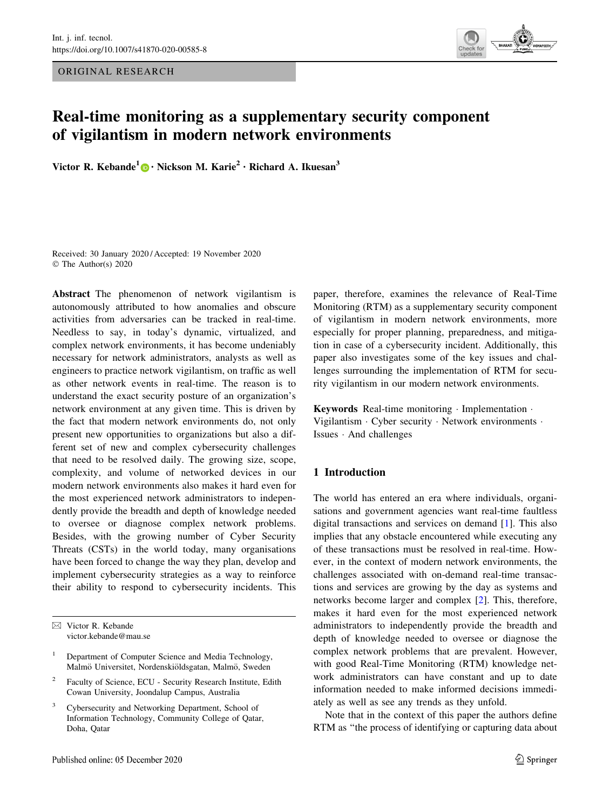ORIGINAL RESEARCH



# Real-time monitoring as a supplementary security component of vigilantism in modern network environments

Victor R. Kebande<sup>1</sup> [•](http://orcid.org/0000-0003-4071-4596) Nickson M. Karie<sup>2</sup> • Richard A. Ikuesan<sup>3</sup>

Received: 30 January 2020 / Accepted: 19 November 2020 © The Author(s) 2020

Abstract The phenomenon of network vigilantism is autonomously attributed to how anomalies and obscure activities from adversaries can be tracked in real-time. Needless to say, in today's dynamic, virtualized, and complex network environments, it has become undeniably necessary for network administrators, analysts as well as engineers to practice network vigilantism, on traffic as well as other network events in real-time. The reason is to understand the exact security posture of an organization's network environment at any given time. This is driven by the fact that modern network environments do, not only present new opportunities to organizations but also a different set of new and complex cybersecurity challenges that need to be resolved daily. The growing size, scope, complexity, and volume of networked devices in our modern network environments also makes it hard even for the most experienced network administrators to independently provide the breadth and depth of knowledge needed to oversee or diagnose complex network problems. Besides, with the growing number of Cyber Security Threats (CSTs) in the world today, many organisations have been forced to change the way they plan, develop and implement cybersecurity strategies as a way to reinforce their ability to respond to cybersecurity incidents. This

- <sup>2</sup> Faculty of Science, ECU Security Research Institute, Edith Cowan University, Joondalup Campus, Australia
- <sup>3</sup> Cybersecurity and Networking Department, School of Information Technology, Community College of Qatar, Doha, Qatar

paper, therefore, examines the relevance of Real-Time Monitoring (RTM) as a supplementary security component of vigilantism in modern network environments, more especially for proper planning, preparedness, and mitigation in case of a cybersecurity incident. Additionally, this paper also investigates some of the key issues and challenges surrounding the implementation of RTM for security vigilantism in our modern network environments.

Keywords Real-time monitoring - Implementation - Vigilantism · Cyber security · Network environments · Issues - And challenges

### 1 Introduction

The world has entered an era where individuals, organisations and government agencies want real-time faultless digital transactions and services on demand [\[1](#page-11-0)]. This also implies that any obstacle encountered while executing any of these transactions must be resolved in real-time. However, in the context of modern network environments, the challenges associated with on-demand real-time transactions and services are growing by the day as systems and networks become larger and complex [\[2](#page-11-0)]. This, therefore, makes it hard even for the most experienced network administrators to independently provide the breadth and depth of knowledge needed to oversee or diagnose the complex network problems that are prevalent. However, with good Real-Time Monitoring (RTM) knowledge network administrators can have constant and up to date information needed to make informed decisions immediately as well as see any trends as they unfold.

Note that in the context of this paper the authors define RTM as ''the process of identifying or capturing data about

 $\boxtimes$  Victor R. Kebande victor.kebande@mau.se

<sup>&</sup>lt;sup>1</sup> Department of Computer Science and Media Technology, Malmö Universitet, Nordenskiöldsgatan, Malmö, Sweden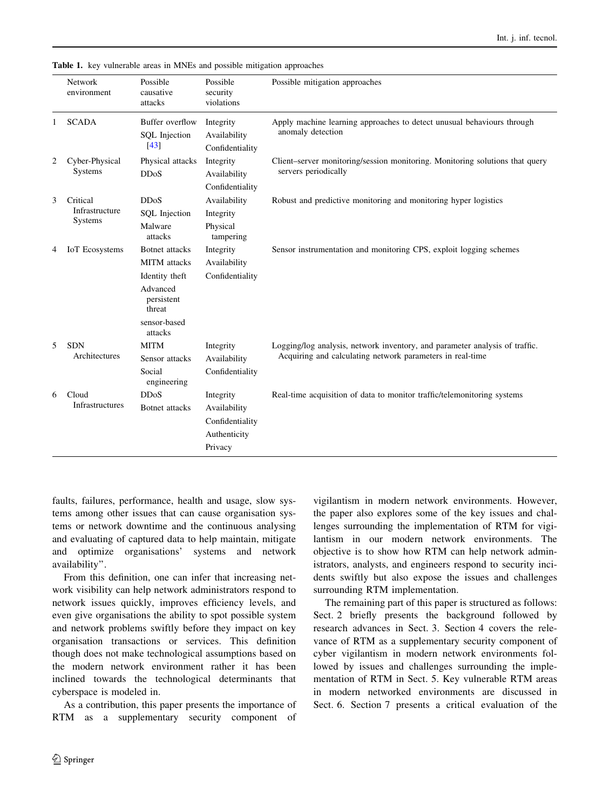|   | Network<br>environment                | Possible<br>causative<br>attacks         | Possible<br>security<br>violations           | Possible mitigation approaches                                                                                                           |
|---|---------------------------------------|------------------------------------------|----------------------------------------------|------------------------------------------------------------------------------------------------------------------------------------------|
|   | <b>SCADA</b>                          | Buffer overflow<br>SQL Injection<br>[43] | Integrity<br>Availability<br>Confidentiality | Apply machine learning approaches to detect unusual behaviours through<br>anomaly detection                                              |
| 2 | Cyber-Physical<br>Systems             | Physical attacks<br><b>DDoS</b>          | Integrity<br>Availability<br>Confidentiality | Client–server monitoring/session monitoring. Monitoring solutions that query<br>servers periodically                                     |
| 3 | Critical<br>Infrastructure<br>Systems | <b>DDoS</b>                              | Availability                                 | Robust and predictive monitoring and monitoring hyper logistics                                                                          |
|   |                                       | SQL Injection<br>Malware<br>attacks      | Integrity<br>Physical<br>tampering           |                                                                                                                                          |
| 4 | IoT Ecosystems                        | Botnet attacks                           | Integrity                                    | Sensor instrumentation and monitoring CPS, exploit logging schemes                                                                       |
|   |                                       | <b>MITM</b> attacks                      | Availability                                 |                                                                                                                                          |
|   |                                       | Identity theft                           | Confidentiality                              |                                                                                                                                          |
|   |                                       | Advanced<br>persistent<br>threat         |                                              |                                                                                                                                          |
|   |                                       | sensor-based<br>attacks                  |                                              |                                                                                                                                          |
| 5 | <b>SDN</b><br>Architectures           | <b>MITM</b>                              | Integrity                                    | Logging/log analysis, network inventory, and parameter analysis of traffic.<br>Acquiring and calculating network parameters in real-time |
|   |                                       | Sensor attacks                           | Availability                                 |                                                                                                                                          |
|   |                                       | Social<br>engineering                    | Confidentiality                              |                                                                                                                                          |
| 6 | Cloud<br>Infrastructures              | <b>DDoS</b>                              | Integrity                                    | Real-time acquisition of data to monitor traffic/telemonitoring systems                                                                  |
|   |                                       | Botnet attacks                           | Availability                                 |                                                                                                                                          |
|   |                                       |                                          | Confidentiality                              |                                                                                                                                          |
|   |                                       |                                          | Authenticity                                 |                                                                                                                                          |
|   |                                       |                                          | Privacy                                      |                                                                                                                                          |

Table 1. key vulnerable areas in MNEs and possible mitigation approaches

faults, failures, performance, health and usage, slow systems among other issues that can cause organisation systems or network downtime and the continuous analysing and evaluating of captured data to help maintain, mitigate and optimize organisations' systems and network availability''.

From this definition, one can infer that increasing network visibility can help network administrators respond to network issues quickly, improves efficiency levels, and even give organisations the ability to spot possible system and network problems swiftly before they impact on key organisation transactions or services. This definition though does not make technological assumptions based on the modern network environment rather it has been inclined towards the technological determinants that cyberspace is modeled in.

As a contribution, this paper presents the importance of RTM as a supplementary security component of vigilantism in modern network environments. However, the paper also explores some of the key issues and challenges surrounding the implementation of RTM for vigilantism in our modern network environments. The objective is to show how RTM can help network administrators, analysts, and engineers respond to security incidents swiftly but also expose the issues and challenges surrounding RTM implementation.

The remaining part of this paper is structured as follows: Sect. 2 briefly presents the background followed by research advances in Sect. 3. Section 4 covers the relevance of RTM as a supplementary security component of cyber vigilantism in modern network environments followed by issues and challenges surrounding the implementation of RTM in Sect. 5. Key vulnerable RTM areas in modern networked environments are discussed in Sect. 6. Section 7 presents a critical evaluation of the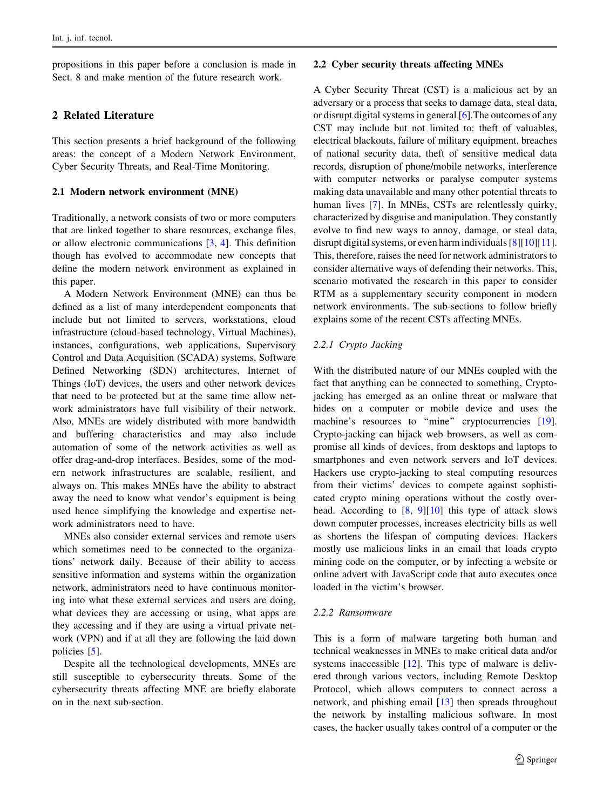propositions in this paper before a conclusion is made in Sect. 8 and make mention of the future research work.

# 2 Related Literature

This section presents a brief background of the following areas: the concept of a Modern Network Environment, Cyber Security Threats, and Real-Time Monitoring.

### 2.1 Modern network environment (MNE)

Traditionally, a network consists of two or more computers that are linked together to share resources, exchange files, or allow electronic communications [\[3](#page-11-0), [4](#page-11-0)]. This definition though has evolved to accommodate new concepts that define the modern network environment as explained in this paper.

A Modern Network Environment (MNE) can thus be defined as a list of many interdependent components that include but not limited to servers, workstations, cloud infrastructure (cloud-based technology, Virtual Machines), instances, configurations, web applications, Supervisory Control and Data Acquisition (SCADA) systems, Software Defined Networking (SDN) architectures, Internet of Things (IoT) devices, the users and other network devices that need to be protected but at the same time allow network administrators have full visibility of their network. Also, MNEs are widely distributed with more bandwidth and buffering characteristics and may also include automation of some of the network activities as well as offer drag-and-drop interfaces. Besides, some of the modern network infrastructures are scalable, resilient, and always on. This makes MNEs have the ability to abstract away the need to know what vendor's equipment is being used hence simplifying the knowledge and expertise network administrators need to have.

MNEs also consider external services and remote users which sometimes need to be connected to the organizations' network daily. Because of their ability to access sensitive information and systems within the organization network, administrators need to have continuous monitoring into what these external services and users are doing, what devices they are accessing or using, what apps are they accessing and if they are using a virtual private network (VPN) and if at all they are following the laid down policies [[5\]](#page-11-0).

Despite all the technological developments, MNEs are still susceptible to cybersecurity threats. Some of the cybersecurity threats affecting MNE are briefly elaborate on in the next sub-section.

#### 2.2 Cyber security threats affecting MNEs

A Cyber Security Threat (CST) is a malicious act by an adversary or a process that seeks to damage data, steal data, or disrupt digital systems in general [\[6](#page-11-0)].The outcomes of any CST may include but not limited to: theft of valuables, electrical blackouts, failure of military equipment, breaches of national security data, theft of sensitive medical data records, disruption of phone/mobile networks, interference with computer networks or paralyse computer systems making data unavailable and many other potential threats to human lives [[7\]](#page-11-0). In MNEs, CSTs are relentlessly quirky, characterized by disguise and manipulation. They constantly evolve to find new ways to annoy, damage, or steal data, disrupt digital systems, or even harm individuals [\[8](#page-11-0)][[10\]\[11](#page-11-0)]. This, therefore, raises the need for network administrators to consider alternative ways of defending their networks. This, scenario motivated the research in this paper to consider RTM as a supplementary security component in modern network environments. The sub-sections to follow briefly explains some of the recent CSTs affecting MNEs.

### 2.2.1 Crypto Jacking

With the distributed nature of our MNEs coupled with the fact that anything can be connected to something, Cryptojacking has emerged as an online threat or malware that hides on a computer or mobile device and uses the machine's resources to "mine" cryptocurrencies [\[19](#page-11-0)]. Crypto-jacking can hijack web browsers, as well as compromise all kinds of devices, from desktops and laptops to smartphones and even network servers and IoT devices. Hackers use crypto-jacking to steal computing resources from their victims' devices to compete against sophisticated crypto mining operations without the costly overhead. According to  $[8, 9][10]$  $[8, 9][10]$  $[8, 9][10]$  $[8, 9][10]$  $[8, 9][10]$  $[8, 9][10]$  this type of attack slows down computer processes, increases electricity bills as well as shortens the lifespan of computing devices. Hackers mostly use malicious links in an email that loads crypto mining code on the computer, or by infecting a website or online advert with JavaScript code that auto executes once loaded in the victim's browser.

#### 2.2.2 Ransomware

This is a form of malware targeting both human and technical weaknesses in MNEs to make critical data and/or systems inaccessible [\[12](#page-11-0)]. This type of malware is delivered through various vectors, including Remote Desktop Protocol, which allows computers to connect across a network, and phishing email [[13\]](#page-11-0) then spreads throughout the network by installing malicious software. In most cases, the hacker usually takes control of a computer or the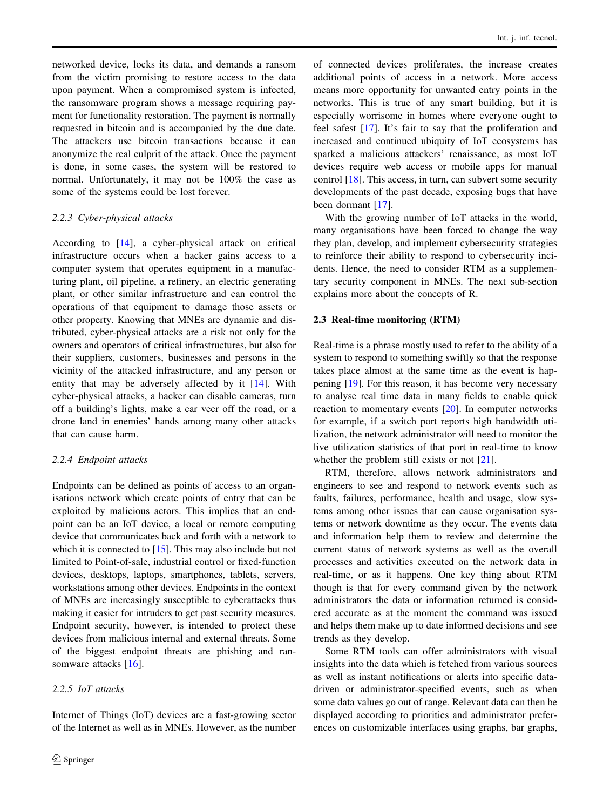networked device, locks its data, and demands a ransom from the victim promising to restore access to the data upon payment. When a compromised system is infected, the ransomware program shows a message requiring payment for functionality restoration. The payment is normally requested in bitcoin and is accompanied by the due date. The attackers use bitcoin transactions because it can anonymize the real culprit of the attack. Once the payment is done, in some cases, the system will be restored to normal. Unfortunately, it may not be 100% the case as some of the systems could be lost forever.

### 2.2.3 Cyber-physical attacks

According to [[14\]](#page-11-0), a cyber-physical attack on critical infrastructure occurs when a hacker gains access to a computer system that operates equipment in a manufacturing plant, oil pipeline, a refinery, an electric generating plant, or other similar infrastructure and can control the operations of that equipment to damage those assets or other property. Knowing that MNEs are dynamic and distributed, cyber-physical attacks are a risk not only for the owners and operators of critical infrastructures, but also for their suppliers, customers, businesses and persons in the vicinity of the attacked infrastructure, and any person or entity that may be adversely affected by it [[14\]](#page-11-0). With cyber-physical attacks, a hacker can disable cameras, turn off a building's lights, make a car veer off the road, or a drone land in enemies' hands among many other attacks that can cause harm.

#### 2.2.4 Endpoint attacks

Endpoints can be defined as points of access to an organisations network which create points of entry that can be exploited by malicious actors. This implies that an endpoint can be an IoT device, a local or remote computing device that communicates back and forth with a network to which it is connected to  $[15]$  $[15]$ . This may also include but not limited to Point-of-sale, industrial control or fixed-function devices, desktops, laptops, smartphones, tablets, servers, workstations among other devices. Endpoints in the context of MNEs are increasingly susceptible to cyberattacks thus making it easier for intruders to get past security measures. Endpoint security, however, is intended to protect these devices from malicious internal and external threats. Some of the biggest endpoint threats are phishing and ran-somware attacks [[16\]](#page-11-0).

# 2.2.5 IoT attacks

of connected devices proliferates, the increase creates additional points of access in a network. More access means more opportunity for unwanted entry points in the networks. This is true of any smart building, but it is especially worrisome in homes where everyone ought to feel safest [\[17](#page-11-0)]. It's fair to say that the proliferation and increased and continued ubiquity of IoT ecosystems has sparked a malicious attackers' renaissance, as most IoT devices require web access or mobile apps for manual control [\[18](#page-11-0)]. This access, in turn, can subvert some security developments of the past decade, exposing bugs that have been dormant [\[17](#page-11-0)].

With the growing number of IoT attacks in the world, many organisations have been forced to change the way they plan, develop, and implement cybersecurity strategies to reinforce their ability to respond to cybersecurity incidents. Hence, the need to consider RTM as a supplementary security component in MNEs. The next sub-section explains more about the concepts of R.

#### 2.3 Real-time monitoring (RTM)

Real-time is a phrase mostly used to refer to the ability of a system to respond to something swiftly so that the response takes place almost at the same time as the event is happening [[19\]](#page-11-0). For this reason, it has become very necessary to analyse real time data in many fields to enable quick reaction to momentary events [\[20](#page-11-0)]. In computer networks for example, if a switch port reports high bandwidth utilization, the network administrator will need to monitor the live utilization statistics of that port in real-time to know whether the problem still exists or not [[21\]](#page-11-0).

RTM, therefore, allows network administrators and engineers to see and respond to network events such as faults, failures, performance, health and usage, slow systems among other issues that can cause organisation systems or network downtime as they occur. The events data and information help them to review and determine the current status of network systems as well as the overall processes and activities executed on the network data in real-time, or as it happens. One key thing about RTM though is that for every command given by the network administrators the data or information returned is considered accurate as at the moment the command was issued and helps them make up to date informed decisions and see trends as they develop.

Some RTM tools can offer administrators with visual insights into the data which is fetched from various sources as well as instant notifications or alerts into specific datadriven or administrator-specified events, such as when some data values go out of range. Relevant data can then be displayed according to priorities and administrator preferences on customizable interfaces using graphs, bar graphs,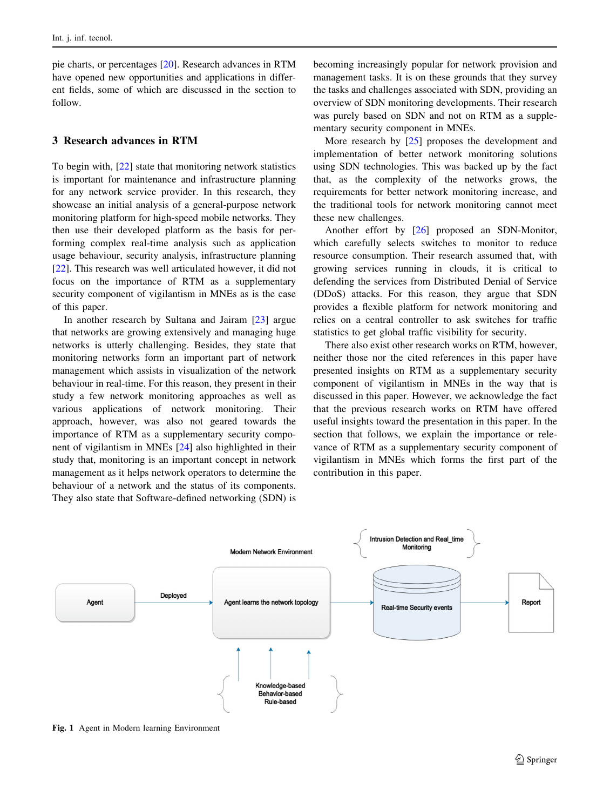<span id="page-4-0"></span>pie charts, or percentages [[20\]](#page-11-0). Research advances in RTM have opened new opportunities and applications in different fields, some of which are discussed in the section to follow.

# 3 Research advances in RTM

To begin with, [\[22](#page-11-0)] state that monitoring network statistics is important for maintenance and infrastructure planning for any network service provider. In this research, they showcase an initial analysis of a general-purpose network monitoring platform for high-speed mobile networks. They then use their developed platform as the basis for performing complex real-time analysis such as application usage behaviour, security analysis, infrastructure planning [\[22](#page-11-0)]. This research was well articulated however, it did not focus on the importance of RTM as a supplementary security component of vigilantism in MNEs as is the case of this paper.

In another research by Sultana and Jairam [\[23](#page-12-0)] argue that networks are growing extensively and managing huge networks is utterly challenging. Besides, they state that monitoring networks form an important part of network management which assists in visualization of the network behaviour in real-time. For this reason, they present in their study a few network monitoring approaches as well as various applications of network monitoring. Their approach, however, was also not geared towards the importance of RTM as a supplementary security component of vigilantism in MNEs [[24\]](#page-12-0) also highlighted in their study that, monitoring is an important concept in network management as it helps network operators to determine the behaviour of a network and the status of its components. They also state that Software-defined networking (SDN) is becoming increasingly popular for network provision and management tasks. It is on these grounds that they survey the tasks and challenges associated with SDN, providing an overview of SDN monitoring developments. Their research was purely based on SDN and not on RTM as a supplementary security component in MNEs.

More research by  $[25]$  $[25]$  proposes the development and implementation of better network monitoring solutions using SDN technologies. This was backed up by the fact that, as the complexity of the networks grows, the requirements for better network monitoring increase, and the traditional tools for network monitoring cannot meet these new challenges.

Another effort by [\[26](#page-12-0)] proposed an SDN-Monitor, which carefully selects switches to monitor to reduce resource consumption. Their research assumed that, with growing services running in clouds, it is critical to defending the services from Distributed Denial of Service (DDoS) attacks. For this reason, they argue that SDN provides a flexible platform for network monitoring and relies on a central controller to ask switches for traffic statistics to get global traffic visibility for security.

There also exist other research works on RTM, however, neither those nor the cited references in this paper have presented insights on RTM as a supplementary security component of vigilantism in MNEs in the way that is discussed in this paper. However, we acknowledge the fact that the previous research works on RTM have offered useful insights toward the presentation in this paper. In the section that follows, we explain the importance or relevance of RTM as a supplementary security component of vigilantism in MNEs which forms the first part of the contribution in this paper.



Fig. 1 Agent in Modern learning Environment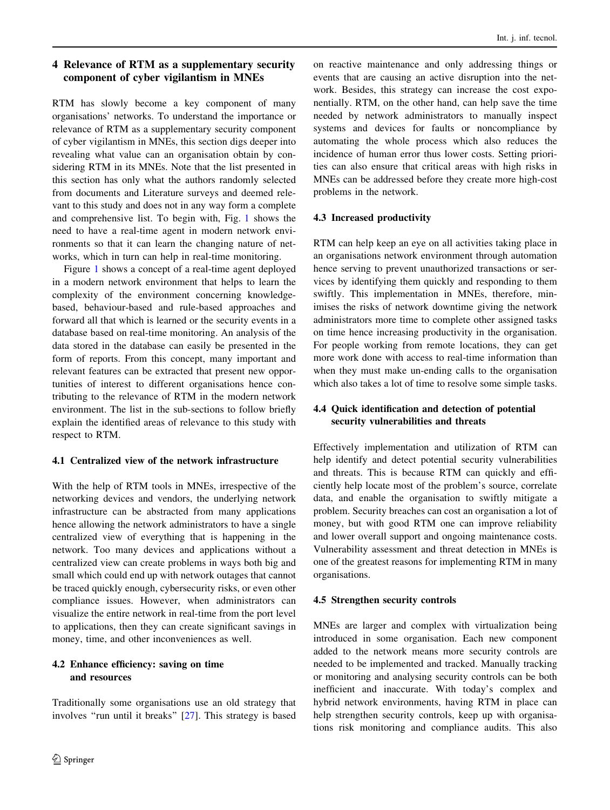# 4 Relevance of RTM as a supplementary security component of cyber vigilantism in MNEs

RTM has slowly become a key component of many organisations' networks. To understand the importance or relevance of RTM as a supplementary security component of cyber vigilantism in MNEs, this section digs deeper into revealing what value can an organisation obtain by considering RTM in its MNEs. Note that the list presented in this section has only what the authors randomly selected from documents and Literature surveys and deemed relevant to this study and does not in any way form a complete and comprehensive list. To begin with, Fig. [1](#page-4-0) shows the need to have a real-time agent in modern network environments so that it can learn the changing nature of networks, which in turn can help in real-time monitoring.

Figure [1](#page-4-0) shows a concept of a real-time agent deployed in a modern network environment that helps to learn the complexity of the environment concerning knowledgebased, behaviour-based and rule-based approaches and forward all that which is learned or the security events in a database based on real-time monitoring. An analysis of the data stored in the database can easily be presented in the form of reports. From this concept, many important and relevant features can be extracted that present new opportunities of interest to different organisations hence contributing to the relevance of RTM in the modern network environment. The list in the sub-sections to follow briefly explain the identified areas of relevance to this study with respect to RTM.

# 4.1 Centralized view of the network infrastructure

With the help of RTM tools in MNEs, irrespective of the networking devices and vendors, the underlying network infrastructure can be abstracted from many applications hence allowing the network administrators to have a single centralized view of everything that is happening in the network. Too many devices and applications without a centralized view can create problems in ways both big and small which could end up with network outages that cannot be traced quickly enough, cybersecurity risks, or even other compliance issues. However, when administrators can visualize the entire network in real-time from the port level to applications, then they can create significant savings in money, time, and other inconveniences as well.

# 4.2 Enhance efficiency: saving on time and resources

Traditionally some organisations use an old strategy that involves "run until it breaks" [\[27](#page-12-0)]. This strategy is based on reactive maintenance and only addressing things or events that are causing an active disruption into the network. Besides, this strategy can increase the cost exponentially. RTM, on the other hand, can help save the time needed by network administrators to manually inspect systems and devices for faults or noncompliance by automating the whole process which also reduces the incidence of human error thus lower costs. Setting priorities can also ensure that critical areas with high risks in MNEs can be addressed before they create more high-cost problems in the network.

# 4.3 Increased productivity

RTM can help keep an eye on all activities taking place in an organisations network environment through automation hence serving to prevent unauthorized transactions or services by identifying them quickly and responding to them swiftly. This implementation in MNEs, therefore, minimises the risks of network downtime giving the network administrators more time to complete other assigned tasks on time hence increasing productivity in the organisation. For people working from remote locations, they can get more work done with access to real-time information than when they must make un-ending calls to the organisation which also takes a lot of time to resolve some simple tasks.

# 4.4 Quick identification and detection of potential security vulnerabilities and threats

Effectively implementation and utilization of RTM can help identify and detect potential security vulnerabilities and threats. This is because RTM can quickly and efficiently help locate most of the problem's source, correlate data, and enable the organisation to swiftly mitigate a problem. Security breaches can cost an organisation a lot of money, but with good RTM one can improve reliability and lower overall support and ongoing maintenance costs. Vulnerability assessment and threat detection in MNEs is one of the greatest reasons for implementing RTM in many organisations.

# 4.5 Strengthen security controls

MNEs are larger and complex with virtualization being introduced in some organisation. Each new component added to the network means more security controls are needed to be implemented and tracked. Manually tracking or monitoring and analysing security controls can be both inefficient and inaccurate. With today's complex and hybrid network environments, having RTM in place can help strengthen security controls, keep up with organisations risk monitoring and compliance audits. This also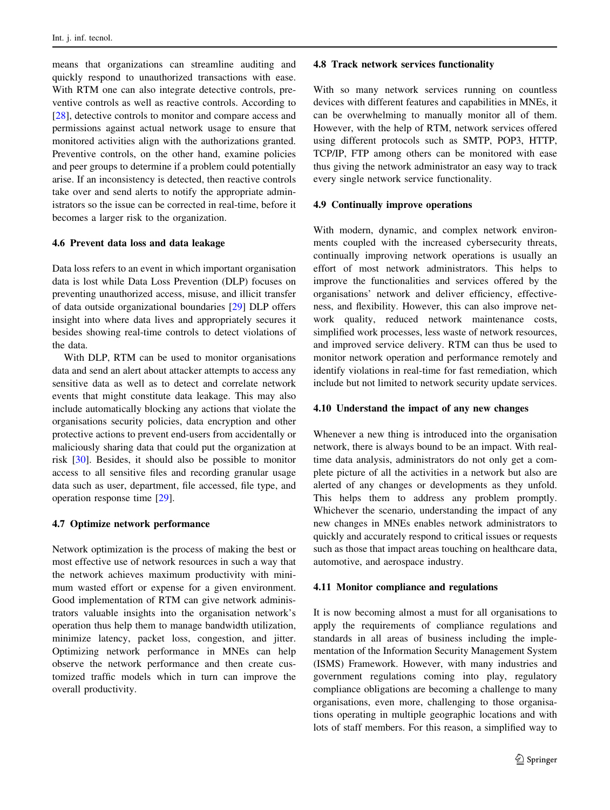means that organizations can streamline auditing and quickly respond to unauthorized transactions with ease. With RTM one can also integrate detective controls, preventive controls as well as reactive controls. According to [\[28](#page-12-0)], detective controls to monitor and compare access and permissions against actual network usage to ensure that monitored activities align with the authorizations granted. Preventive controls, on the other hand, examine policies and peer groups to determine if a problem could potentially arise. If an inconsistency is detected, then reactive controls take over and send alerts to notify the appropriate administrators so the issue can be corrected in real-time, before it becomes a larger risk to the organization.

#### 4.6 Prevent data loss and data leakage

Data loss refers to an event in which important organisation data is lost while Data Loss Prevention (DLP) focuses on preventing unauthorized access, misuse, and illicit transfer of data outside organizational boundaries [[29\]](#page-12-0) DLP offers insight into where data lives and appropriately secures it besides showing real-time controls to detect violations of the data.

With DLP, RTM can be used to monitor organisations data and send an alert about attacker attempts to access any sensitive data as well as to detect and correlate network events that might constitute data leakage. This may also include automatically blocking any actions that violate the organisations security policies, data encryption and other protective actions to prevent end-users from accidentally or maliciously sharing data that could put the organization at risk [[30\]](#page-12-0). Besides, it should also be possible to monitor access to all sensitive files and recording granular usage data such as user, department, file accessed, file type, and operation response time [[29\]](#page-12-0).

#### 4.7 Optimize network performance

Network optimization is the process of making the best or most effective use of network resources in such a way that the network achieves maximum productivity with minimum wasted effort or expense for a given environment. Good implementation of RTM can give network administrators valuable insights into the organisation network's operation thus help them to manage bandwidth utilization, minimize latency, packet loss, congestion, and jitter. Optimizing network performance in MNEs can help observe the network performance and then create customized traffic models which in turn can improve the overall productivity.

#### 4.8 Track network services functionality

With so many network services running on countless devices with different features and capabilities in MNEs, it can be overwhelming to manually monitor all of them. However, with the help of RTM, network services offered using different protocols such as SMTP, POP3, HTTP, TCP/IP, FTP among others can be monitored with ease thus giving the network administrator an easy way to track every single network service functionality.

#### 4.9 Continually improve operations

With modern, dynamic, and complex network environments coupled with the increased cybersecurity threats, continually improving network operations is usually an effort of most network administrators. This helps to improve the functionalities and services offered by the organisations' network and deliver efficiency, effectiveness, and flexibility. However, this can also improve network quality, reduced network maintenance costs, simplified work processes, less waste of network resources, and improved service delivery. RTM can thus be used to monitor network operation and performance remotely and identify violations in real-time for fast remediation, which include but not limited to network security update services.

#### 4.10 Understand the impact of any new changes

Whenever a new thing is introduced into the organisation network, there is always bound to be an impact. With realtime data analysis, administrators do not only get a complete picture of all the activities in a network but also are alerted of any changes or developments as they unfold. This helps them to address any problem promptly. Whichever the scenario, understanding the impact of any new changes in MNEs enables network administrators to quickly and accurately respond to critical issues or requests such as those that impact areas touching on healthcare data, automotive, and aerospace industry.

#### 4.11 Monitor compliance and regulations

It is now becoming almost a must for all organisations to apply the requirements of compliance regulations and standards in all areas of business including the implementation of the Information Security Management System (ISMS) Framework. However, with many industries and government regulations coming into play, regulatory compliance obligations are becoming a challenge to many organisations, even more, challenging to those organisations operating in multiple geographic locations and with lots of staff members. For this reason, a simplified way to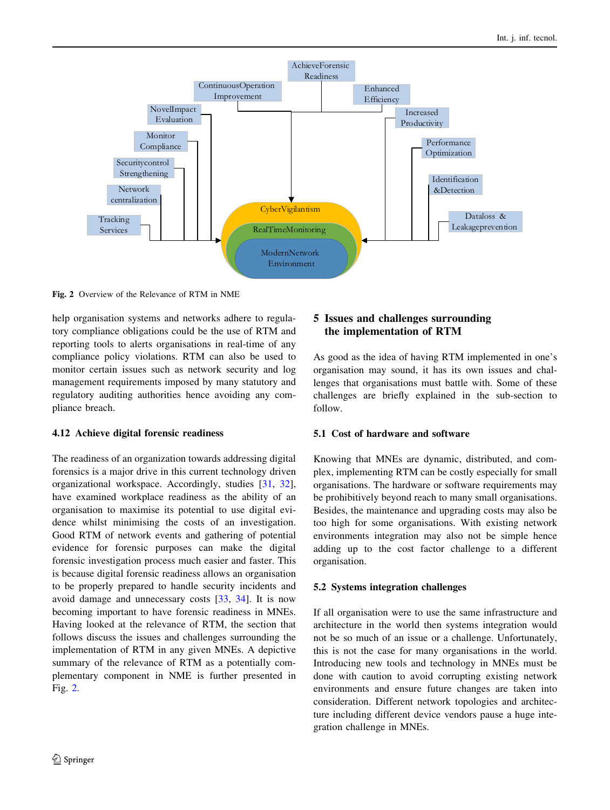

Fig. 2 Overview of the Relevance of RTM in NME

help organisation systems and networks adhere to regulatory compliance obligations could be the use of RTM and reporting tools to alerts organisations in real-time of any compliance policy violations. RTM can also be used to monitor certain issues such as network security and log management requirements imposed by many statutory and regulatory auditing authorities hence avoiding any compliance breach.

#### 4.12 Achieve digital forensic readiness

The readiness of an organization towards addressing digital forensics is a major drive in this current technology driven organizational workspace. Accordingly, studies [\[31](#page-12-0), [32](#page-12-0)], have examined workplace readiness as the ability of an organisation to maximise its potential to use digital evidence whilst minimising the costs of an investigation. Good RTM of network events and gathering of potential evidence for forensic purposes can make the digital forensic investigation process much easier and faster. This is because digital forensic readiness allows an organisation to be properly prepared to handle security incidents and avoid damage and unnecessary costs [\[33](#page-12-0), [34](#page-12-0)]. It is now becoming important to have forensic readiness in MNEs. Having looked at the relevance of RTM, the section that follows discuss the issues and challenges surrounding the implementation of RTM in any given MNEs. A depictive summary of the relevance of RTM as a potentially complementary component in NME is further presented in Fig. 2.

# 5 Issues and challenges surrounding the implementation of RTM

As good as the idea of having RTM implemented in one's organisation may sound, it has its own issues and challenges that organisations must battle with. Some of these challenges are briefly explained in the sub-section to follow.

### 5.1 Cost of hardware and software

Knowing that MNEs are dynamic, distributed, and complex, implementing RTM can be costly especially for small organisations. The hardware or software requirements may be prohibitively beyond reach to many small organisations. Besides, the maintenance and upgrading costs may also be too high for some organisations. With existing network environments integration may also not be simple hence adding up to the cost factor challenge to a different organisation.

### 5.2 Systems integration challenges

If all organisation were to use the same infrastructure and architecture in the world then systems integration would not be so much of an issue or a challenge. Unfortunately, this is not the case for many organisations in the world. Introducing new tools and technology in MNEs must be done with caution to avoid corrupting existing network environments and ensure future changes are taken into consideration. Different network topologies and architecture including different device vendors pause a huge integration challenge in MNEs.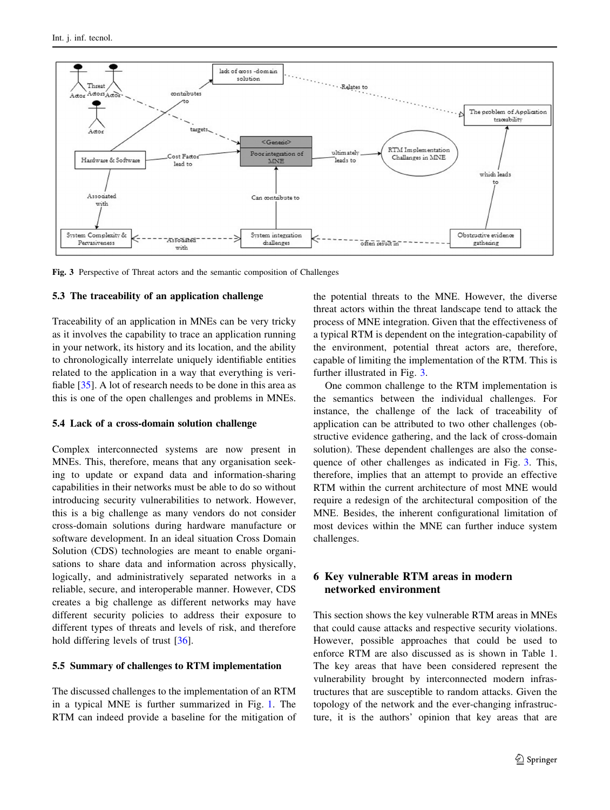

Fig. 3 Perspective of Threat actors and the semantic composition of Challenges

#### 5.3 The traceability of an application challenge

Traceability of an application in MNEs can be very tricky as it involves the capability to trace an application running in your network, its history and its location, and the ability to chronologically interrelate uniquely identifiable entities related to the application in a way that everything is verifiable [[35\]](#page-12-0). A lot of research needs to be done in this area as this is one of the open challenges and problems in MNEs.

#### 5.4 Lack of a cross-domain solution challenge

Complex interconnected systems are now present in MNEs. This, therefore, means that any organisation seeking to update or expand data and information-sharing capabilities in their networks must be able to do so without introducing security vulnerabilities to network. However, this is a big challenge as many vendors do not consider cross-domain solutions during hardware manufacture or software development. In an ideal situation Cross Domain Solution (CDS) technologies are meant to enable organisations to share data and information across physically, logically, and administratively separated networks in a reliable, secure, and interoperable manner. However, CDS creates a big challenge as different networks may have different security policies to address their exposure to different types of threats and levels of risk, and therefore hold differing levels of trust [\[36](#page-12-0)].

#### 5.5 Summary of challenges to RTM implementation

The discussed challenges to the implementation of an RTM in a typical MNE is further summarized in Fig. [1](#page-4-0). The RTM can indeed provide a baseline for the mitigation of the potential threats to the MNE. However, the diverse threat actors within the threat landscape tend to attack the process of MNE integration. Given that the effectiveness of a typical RTM is dependent on the integration-capability of the environment, potential threat actors are, therefore, capable of limiting the implementation of the RTM. This is further illustrated in Fig. 3.

One common challenge to the RTM implementation is the semantics between the individual challenges. For instance, the challenge of the lack of traceability of application can be attributed to two other challenges (obstructive evidence gathering, and the lack of cross-domain solution). These dependent challenges are also the consequence of other challenges as indicated in Fig. 3. This, therefore, implies that an attempt to provide an effective RTM within the current architecture of most MNE would require a redesign of the architectural composition of the MNE. Besides, the inherent configurational limitation of most devices within the MNE can further induce system challenges.

# 6 Key vulnerable RTM areas in modern networked environment

This section shows the key vulnerable RTM areas in MNEs that could cause attacks and respective security violations. However, possible approaches that could be used to enforce RTM are also discussed as is shown in Table 1. The key areas that have been considered represent the vulnerability brought by interconnected modern infrastructures that are susceptible to random attacks. Given the topology of the network and the ever-changing infrastructure, it is the authors' opinion that key areas that are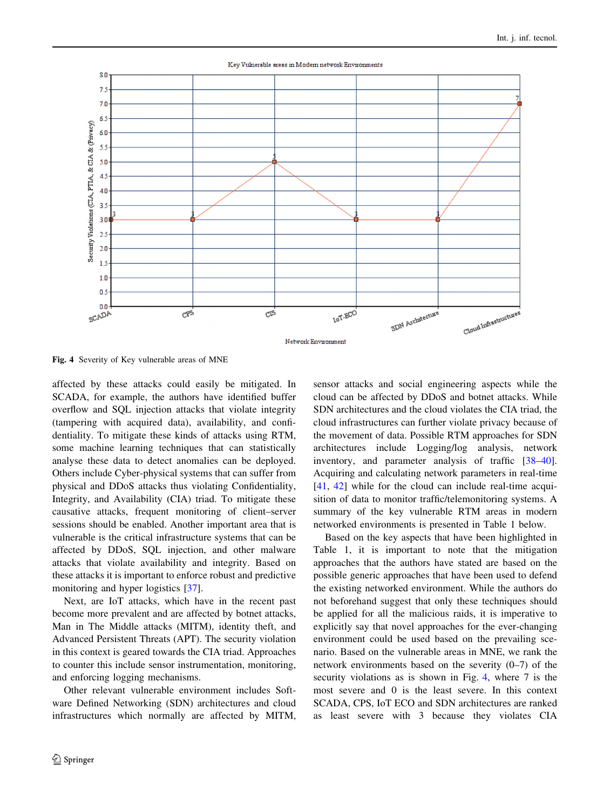![](_page_9_Figure_1.jpeg)

Fig. 4 Severity of Key vulnerable areas of MNE

affected by these attacks could easily be mitigated. In SCADA, for example, the authors have identified buffer overflow and SQL injection attacks that violate integrity (tampering with acquired data), availability, and confidentiality. To mitigate these kinds of attacks using RTM, some machine learning techniques that can statistically analyse these data to detect anomalies can be deployed. Others include Cyber-physical systems that can suffer from physical and DDoS attacks thus violating Confidentiality, Integrity, and Availability (CIA) triad. To mitigate these causative attacks, frequent monitoring of client–server sessions should be enabled. Another important area that is vulnerable is the critical infrastructure systems that can be affected by DDoS, SQL injection, and other malware attacks that violate availability and integrity. Based on these attacks it is important to enforce robust and predictive monitoring and hyper logistics [[37\]](#page-12-0).

Next, are IoT attacks, which have in the recent past become more prevalent and are affected by botnet attacks, Man in The Middle attacks (MITM), identity theft, and Advanced Persistent Threats (APT). The security violation in this context is geared towards the CIA triad. Approaches to counter this include sensor instrumentation, monitoring, and enforcing logging mechanisms.

Other relevant vulnerable environment includes Software Defined Networking (SDN) architectures and cloud infrastructures which normally are affected by MITM, sensor attacks and social engineering aspects while the cloud can be affected by DDoS and botnet attacks. While SDN architectures and the cloud violates the CIA triad, the cloud infrastructures can further violate privacy because of the movement of data. Possible RTM approaches for SDN architectures include Logging/log analysis, network inventory, and parameter analysis of traffic [\[38–40](#page-12-0)]. Acquiring and calculating network parameters in real-time [\[41](#page-12-0), [42\]](#page-12-0) while for the cloud can include real-time acquisition of data to monitor traffic/telemonitoring systems. A summary of the key vulnerable RTM areas in modern networked environments is presented in Table 1 below.

Based on the key aspects that have been highlighted in Table 1, it is important to note that the mitigation approaches that the authors have stated are based on the possible generic approaches that have been used to defend the existing networked environment. While the authors do not beforehand suggest that only these techniques should be applied for all the malicious raids, it is imperative to explicitly say that novel approaches for the ever-changing environment could be used based on the prevailing scenario. Based on the vulnerable areas in MNE, we rank the network environments based on the severity (0–7) of the security violations as is shown in Fig. 4, where 7 is the most severe and 0 is the least severe. In this context SCADA, CPS, IoT ECO and SDN architectures are ranked as least severe with 3 because they violates CIA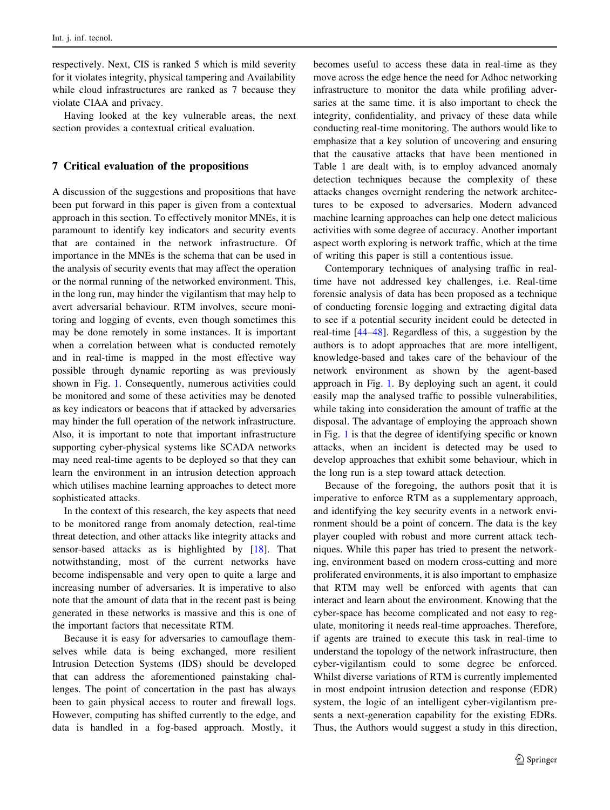respectively. Next, CIS is ranked 5 which is mild severity for it violates integrity, physical tampering and Availability while cloud infrastructures are ranked as 7 because they violate CIAA and privacy.

Having looked at the key vulnerable areas, the next section provides a contextual critical evaluation.

### 7 Critical evaluation of the propositions

A discussion of the suggestions and propositions that have been put forward in this paper is given from a contextual approach in this section. To effectively monitor MNEs, it is paramount to identify key indicators and security events that are contained in the network infrastructure. Of importance in the MNEs is the schema that can be used in the analysis of security events that may affect the operation or the normal running of the networked environment. This, in the long run, may hinder the vigilantism that may help to avert adversarial behaviour. RTM involves, secure monitoring and logging of events, even though sometimes this may be done remotely in some instances. It is important when a correlation between what is conducted remotely and in real-time is mapped in the most effective way possible through dynamic reporting as was previously shown in Fig. [1](#page-4-0). Consequently, numerous activities could be monitored and some of these activities may be denoted as key indicators or beacons that if attacked by adversaries may hinder the full operation of the network infrastructure. Also, it is important to note that important infrastructure supporting cyber-physical systems like SCADA networks may need real-time agents to be deployed so that they can learn the environment in an intrusion detection approach which utilises machine learning approaches to detect more sophisticated attacks.

In the context of this research, the key aspects that need to be monitored range from anomaly detection, real-time threat detection, and other attacks like integrity attacks and sensor-based attacks as is highlighted by [[18\]](#page-11-0). That notwithstanding, most of the current networks have become indispensable and very open to quite a large and increasing number of adversaries. It is imperative to also note that the amount of data that in the recent past is being generated in these networks is massive and this is one of the important factors that necessitate RTM.

Because it is easy for adversaries to camouflage themselves while data is being exchanged, more resilient Intrusion Detection Systems (IDS) should be developed that can address the aforementioned painstaking challenges. The point of concertation in the past has always been to gain physical access to router and firewall logs. However, computing has shifted currently to the edge, and data is handled in a fog-based approach. Mostly, it becomes useful to access these data in real-time as they move across the edge hence the need for Adhoc networking infrastructure to monitor the data while profiling adversaries at the same time. it is also important to check the integrity, confidentiality, and privacy of these data while conducting real-time monitoring. The authors would like to emphasize that a key solution of uncovering and ensuring that the causative attacks that have been mentioned in Table 1 are dealt with, is to employ advanced anomaly detection techniques because the complexity of these attacks changes overnight rendering the network architectures to be exposed to adversaries. Modern advanced machine learning approaches can help one detect malicious activities with some degree of accuracy. Another important aspect worth exploring is network traffic, which at the time of writing this paper is still a contentious issue.

Contemporary techniques of analysing traffic in realtime have not addressed key challenges, i.e. Real-time forensic analysis of data has been proposed as a technique of conducting forensic logging and extracting digital data to see if a potential security incident could be detected in real-time [\[44–48](#page-12-0)]. Regardless of this, a suggestion by the authors is to adopt approaches that are more intelligent, knowledge-based and takes care of the behaviour of the network environment as shown by the agent-based approach in Fig. [1.](#page-4-0) By deploying such an agent, it could easily map the analysed traffic to possible vulnerabilities, while taking into consideration the amount of traffic at the disposal. The advantage of employing the approach shown in Fig. [1](#page-4-0) is that the degree of identifying specific or known attacks, when an incident is detected may be used to develop approaches that exhibit some behaviour, which in the long run is a step toward attack detection.

Because of the foregoing, the authors posit that it is imperative to enforce RTM as a supplementary approach, and identifying the key security events in a network environment should be a point of concern. The data is the key player coupled with robust and more current attack techniques. While this paper has tried to present the networking, environment based on modern cross-cutting and more proliferated environments, it is also important to emphasize that RTM may well be enforced with agents that can interact and learn about the environment. Knowing that the cyber-space has become complicated and not easy to regulate, monitoring it needs real-time approaches. Therefore, if agents are trained to execute this task in real-time to understand the topology of the network infrastructure, then cyber-vigilantism could to some degree be enforced. Whilst diverse variations of RTM is currently implemented in most endpoint intrusion detection and response (EDR) system, the logic of an intelligent cyber-vigilantism presents a next-generation capability for the existing EDRs. Thus, the Authors would suggest a study in this direction,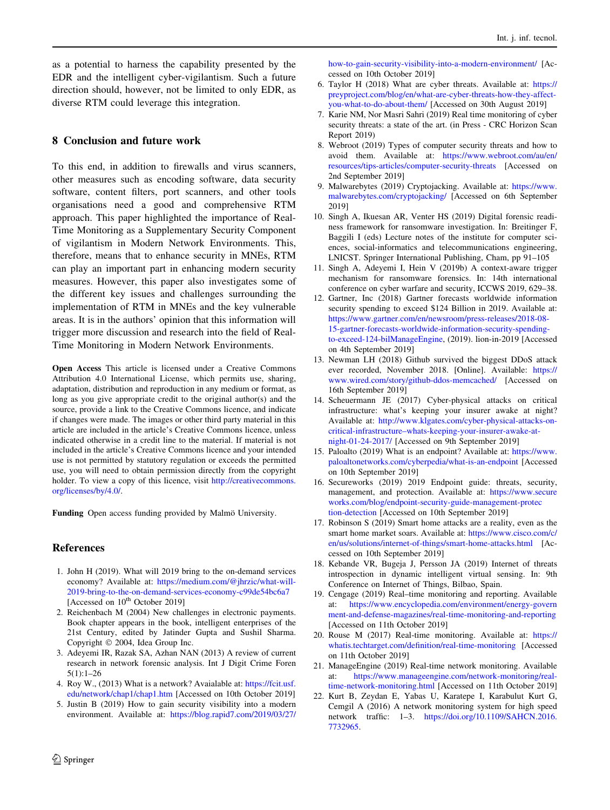<span id="page-11-0"></span>as a potential to harness the capability presented by the EDR and the intelligent cyber-vigilantism. Such a future direction should, however, not be limited to only EDR, as diverse RTM could leverage this integration.

# 8 Conclusion and future work

To this end, in addition to firewalls and virus scanners, other measures such as encoding software, data security software, content filters, port scanners, and other tools organisations need a good and comprehensive RTM approach. This paper highlighted the importance of Real-Time Monitoring as a Supplementary Security Component of vigilantism in Modern Network Environments. This, therefore, means that to enhance security in MNEs, RTM can play an important part in enhancing modern security measures. However, this paper also investigates some of the different key issues and challenges surrounding the implementation of RTM in MNEs and the key vulnerable areas. It is in the authors' opinion that this information will trigger more discussion and research into the field of Real-Time Monitoring in Modern Network Environments.

Open Access This article is licensed under a Creative Commons Attribution 4.0 International License, which permits use, sharing, adaptation, distribution and reproduction in any medium or format, as long as you give appropriate credit to the original author(s) and the source, provide a link to the Creative Commons licence, and indicate if changes were made. The images or other third party material in this article are included in the article's Creative Commons licence, unless indicated otherwise in a credit line to the material. If material is not included in the article's Creative Commons licence and your intended use is not permitted by statutory regulation or exceeds the permitted use, you will need to obtain permission directly from the copyright holder. To view a copy of this licence, visit [http://creativecommons.](http://creativecommons.org/licenses/by/4.0/) [org/licenses/by/4.0/.](http://creativecommons.org/licenses/by/4.0/)

Funding Open access funding provided by Malmö University.

### References

- 1. John H (2019). What will 2019 bring to the on-demand services economy? Available at: [https://medium.com/@jhrzic/what-will-](https://medium.com/@jhrzic/what-will-2019-bring-to-the-on-demand-services-economy-c99de54bc6a7)[2019-bring-to-the-on-demand-services-economy-c99de54bc6a7](https://medium.com/@jhrzic/what-will-2019-bring-to-the-on-demand-services-economy-c99de54bc6a7) [Accessed on 10<sup>th</sup> October 2019]
- 2. Reichenbach M (2004) New challenges in electronic payments. Book chapter appears in the book, intelligent enterprises of the 21st Century, edited by Jatinder Gupta and Sushil Sharma. Copyright © 2004, Idea Group Inc.
- 3. Adeyemi IR, Razak SA, Azhan NAN (2013) A review of current research in network forensic analysis. Int J Digit Crime Foren 5(1):1–26
- 4. Roy W., (2013) What is a network? Avaialable at: [https://fcit.usf.](https://fcit.usf.edu/network/chap1/chap1.htm) [edu/network/chap1/chap1.htm](https://fcit.usf.edu/network/chap1/chap1.htm) [Accessed on 10th October 2019]
- 5. Justin B (2019) How to gain security visibility into a modern environment. Available at: [https://blog.rapid7.com/2019/03/27/](https://blog.rapid7.com/2019/03/27/how-to-gain-security-visibility-into-a-modern-environment/)

[how-to-gain-security-visibility-into-a-modern-environment/](https://blog.rapid7.com/2019/03/27/how-to-gain-security-visibility-into-a-modern-environment/) [Accessed on 10th October 2019]

- 6. Taylor H (2018) What are cyber threats. Available at: [https://](https://preyproject.com/blog/en/what-are-cyber-threats-how-they-affect-you-what-to-do-about-them/) [preyproject.com/blog/en/what-are-cyber-threats-how-they-affect](https://preyproject.com/blog/en/what-are-cyber-threats-how-they-affect-you-what-to-do-about-them/)[you-what-to-do-about-them/](https://preyproject.com/blog/en/what-are-cyber-threats-how-they-affect-you-what-to-do-about-them/) [Accessed on 30th August 2019]
- 7. Karie NM, Nor Masri Sahri (2019) Real time monitoring of cyber security threats: a state of the art. (in Press - CRC Horizon Scan Report 2019)
- 8. Webroot (2019) Types of computer security threats and how to avoid them. Available at: [https://www.webroot.com/au/en/](https://www.webroot.com/au/en/resources/tips-articles/computer-security-threats) [resources/tips-articles/computer-security-threats](https://www.webroot.com/au/en/resources/tips-articles/computer-security-threats) [Accessed on 2nd September 2019]
- 9. Malwarebytes (2019) Cryptojacking. Available at: [https://www.](https://www.malwarebytes.com/cryptojacking/) [malwarebytes.com/cryptojacking/](https://www.malwarebytes.com/cryptojacking/) [Accessed on 6th September 2019]
- 10. Singh A, Ikuesan AR, Venter HS (2019) Digital forensic readiness framework for ransomware investigation. In: Breitinger F, Baggili I (eds) Lecture notes of the institute for computer sciences, social-informatics and telecommunications engineering, LNICST. Springer International Publishing, Cham, pp 91–105
- 11. Singh A, Adeyemi I, Hein V (2019b) A context-aware trigger mechanism for ransomware forensics. In: 14th international conference on cyber warfare and security, ICCWS 2019, 629–38.
- 12. Gartner, Inc (2018) Gartner forecasts worldwide information security spending to exceed \$124 Billion in 2019. Available at: [https://www.gartner.com/en/newsroom/press-releases/2018-08-](https://www.gartner.com/en/newsroom/press-releases/2018-08-15-gartner-forecasts-worldwide-information-security-spending-to-exceed-124-bilManageEngine) [15-gartner-forecasts-worldwide-information-security-spending](https://www.gartner.com/en/newsroom/press-releases/2018-08-15-gartner-forecasts-worldwide-information-security-spending-to-exceed-124-bilManageEngine)[to-exceed-124-bilManageEngine,](https://www.gartner.com/en/newsroom/press-releases/2018-08-15-gartner-forecasts-worldwide-information-security-spending-to-exceed-124-bilManageEngine) (2019). lion-in-2019 [Accessed on 4th September 2019]
- 13. Newman LH (2018) Github survived the biggest DDoS attack ever recorded, November 2018. [Online]. Available: [https://](https://www.wired.com/story/github-ddos-memcached/) [www.wired.com/story/github-ddos-memcached/](https://www.wired.com/story/github-ddos-memcached/) [Accessed on 16th September 2019]
- 14. Scheuermann JE (2017) Cyber-physical attacks on critical infrastructure: what's keeping your insurer awake at night? Available at: [http://www.klgates.com/cyber-physical-attacks-on](http://www.klgates.com/cyber-physical-attacks-on-critical-infrastructure--whats-keeping-your-insurer-awake-at-night-01-24-2017/)[critical-infrastructure–whats-keeping-your-insurer-awake-at](http://www.klgates.com/cyber-physical-attacks-on-critical-infrastructure--whats-keeping-your-insurer-awake-at-night-01-24-2017/)[night-01-24-2017/](http://www.klgates.com/cyber-physical-attacks-on-critical-infrastructure--whats-keeping-your-insurer-awake-at-night-01-24-2017/) [Accessed on 9th September 2019]
- 15. Paloalto (2019) What is an endpoint? Available at: [https://www.](https://www.paloaltonetworks.com/cyberpedia/what-is-an-endpoint) [paloaltonetworks.com/cyberpedia/what-is-an-endpoint](https://www.paloaltonetworks.com/cyberpedia/what-is-an-endpoint) [Accessed on 10th September 2019]
- 16. Secureworks (2019) 2019 Endpoint guide: threats, security, management, and protection. Available at: [https://www.secure](https://www.secureworks.com/blog/endpoint-security-guide-management-protection-detection) [works.com/blog/endpoint-security-guide-management-protec](https://www.secureworks.com/blog/endpoint-security-guide-management-protection-detection) [tion-detection](https://www.secureworks.com/blog/endpoint-security-guide-management-protection-detection) [Accessed on 10th September 2019]
- 17. Robinson S (2019) Smart home attacks are a reality, even as the smart home market soars. Available at: [https://www.cisco.com/c/](https://www.cisco.com/c/en/us/solutions/internet-of-things/smart-home-attacks.html) [en/us/solutions/internet-of-things/smart-home-attacks.html](https://www.cisco.com/c/en/us/solutions/internet-of-things/smart-home-attacks.html) [Accessed on 10th September 2019]
- 18. Kebande VR, Bugeja J, Persson JA (2019) Internet of threats introspection in dynamic intelligent virtual sensing. In: 9th Conference on Internet of Things, Bilbao, Spain.
- 19. Cengage (2019) Real–time monitoring and reporting. Available at: [https://www.encyclopedia.com/environment/energy-govern](https://www.encyclopedia.com/environment/energy-government-and-defense-magazines/real-time-monitoring-and-reporting) [ment-and-defense-magazines/real-time-monitoring-and-reporting](https://www.encyclopedia.com/environment/energy-government-and-defense-magazines/real-time-monitoring-and-reporting) [Accessed on 11th October 2019]
- 20. Rouse M (2017) Real-time monitoring. Available at: [https://](https://whatis.techtarget.com/definition/real-time-monitoring) [whatis.techtarget.com/definition/real-time-monitoring](https://whatis.techtarget.com/definition/real-time-monitoring) [Accessed on 11th October 2019]
- 21. ManageEngine (2019) Real-time network monitoring. Available at: [https://www.manageengine.com/network-monitoring/real](https://www.manageengine.com/network-monitoring/real-time-network-monitoring.html)[time-network-monitoring.html](https://www.manageengine.com/network-monitoring/real-time-network-monitoring.html) [Accessed on 11th October 2019]
- 22. Kurt B, Zeydan E, Yabas U, Karatepe I, Karabulut Kurt G, Cemgil A (2016) A network monitoring system for high speed network traffic: 1–3. [https://doi.org/10.1109/SAHCN.2016.](https://doi.org/10.1109/SAHCN.2016.7732965) [7732965](https://doi.org/10.1109/SAHCN.2016.7732965).